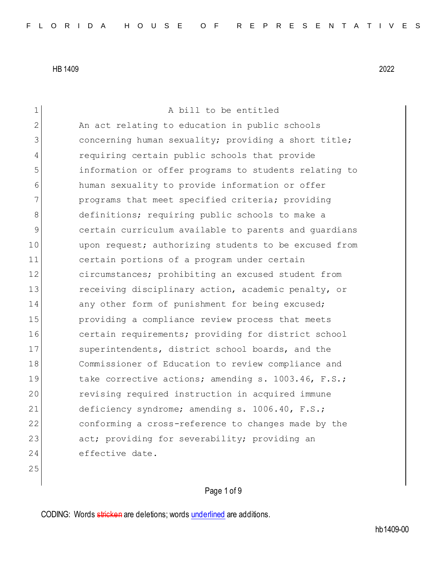1 A bill to be entitled 2 An act relating to education in public schools 3 3 concerning human sexuality; providing a short title; 4 requiring certain public schools that provide 5 information or offer programs to students relating to 6 human sexuality to provide information or offer 7 **programs** that meet specified criteria; providing 8 definitions; requiring public schools to make a 9 certain curriculum available to parents and guardians 10 upon request; authorizing students to be excused from 11 certain portions of a program under certain 12 circumstances; prohibiting an excused student from 13 receiving disciplinary action, academic penalty, or 14 any other form of punishment for being excused; 15 providing a compliance review process that meets 16 certain requirements; providing for district school 17 Superintendents, district school boards, and the 18 Commissioner of Education to review compliance and 19 take corrective actions; amending s. 1003.46, F.S.; 20 revising required instruction in acquired immune 21 deficiency syndrome; amending s. 1006.40, F.S.; 22 conforming a cross-reference to changes made by the 23 act; providing for severability; providing an 24 effective date.

25

## Page 1 of 9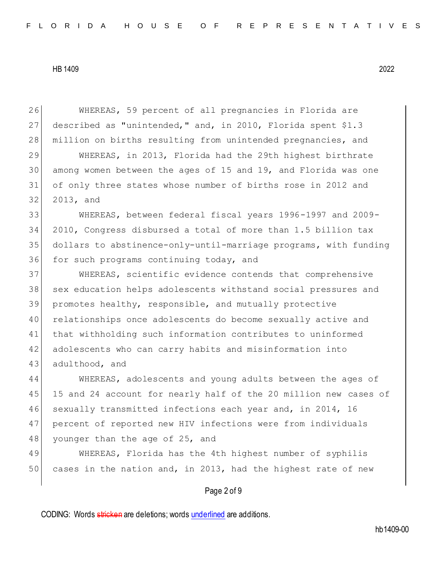26 WHEREAS, 59 percent of all pregnancies in Florida are 27 described as "unintended," and, in 2010, Florida spent \$1.3 28 | million on births resulting from unintended pregnancies, and

 WHEREAS, in 2013, Florida had the 29th highest birthrate among women between the ages of 15 and 19, and Florida was one of only three states whose number of births rose in 2012 and 32 2013, and

 WHEREAS, between federal fiscal years 1996-1997 and 2009- 2010, Congress disbursed a total of more than 1.5 billion tax dollars to abstinence-only-until-marriage programs, with funding 36 for such programs continuing today, and

 WHEREAS, scientific evidence contends that comprehensive 38 sex education helps adolescents withstand social pressures and promotes healthy, responsible, and mutually protective relationships once adolescents do become sexually active and that withholding such information contributes to uninformed adolescents who can carry habits and misinformation into 43 adulthood, and

44 WHEREAS, adolescents and young adults between the ages of 45 15 and 24 account for nearly half of the 20 million new cases of 46 sexually transmitted infections each year and, in 2014, 16 47 percent of reported new HIV infections were from individuals 48 younger than the age of 25, and

49 WHEREAS, Florida has the 4th highest number of syphilis 50 cases in the nation and, in 2013, had the highest rate of new

#### Page 2 of 9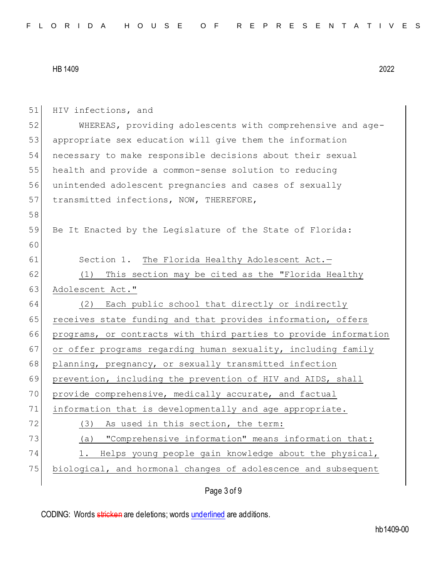51 HIV infections, and 52 WHEREAS, providing adolescents with comprehensive and age-53 appropriate sex education will give them the information 54 necessary to make responsible decisions about their sexual 55 health and provide a common-sense solution to reducing 56 unintended adolescent pregnancies and cases of sexually 57 transmitted infections, NOW, THEREFORE, 58 59 Be It Enacted by the Legislature of the State of Florida: 60 61 Section 1. The Florida Healthy Adolescent Act.-62 (1) This section may be cited as the "Florida Healthy 63 Adolescent Act." 64 (2) Each public school that directly or indirectly 65 receives state funding and that provides information, offers 66 programs, or contracts with third parties to provide information 67 or offer programs regarding human sexuality, including family 68 planning, pregnancy, or sexually transmitted infection 69 prevention, including the prevention of HIV and AIDS, shall 70 provide comprehensive, medically accurate, and factual 71 information that is developmentally and age appropriate. 72 (3) As used in this section, the term: 73 (a) "Comprehensive information" means information that: 74 1. Helps young people gain knowledge about the physical, 75 biological, and hormonal changes of adolescence and subsequent

## Page 3 of 9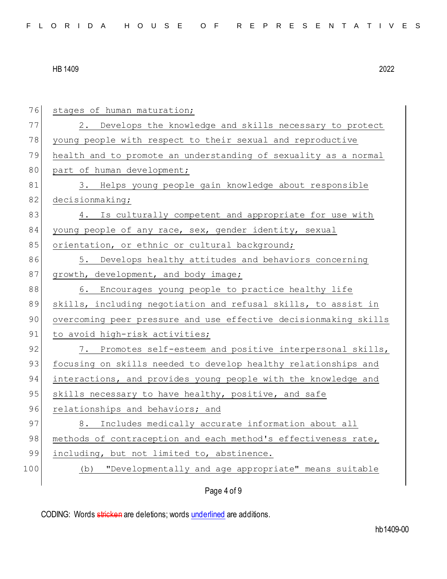| 76  | stages of human maturation;                                      |
|-----|------------------------------------------------------------------|
| 77  | 2. Develops the knowledge and skills necessary to protect        |
| 78  | young people with respect to their sexual and reproductive       |
| 79  | health and to promote an understanding of sexuality as a normal  |
| 80  | part of human development;                                       |
| 81  | 3. Helps young people gain knowledge about responsible           |
| 82  | decisionmaking;                                                  |
| 83  | 4. Is culturally competent and appropriate for use with          |
| 84  | young people of any race, sex, gender identity, sexual           |
| 85  | orientation, or ethnic or cultural background;                   |
| 86  | 5. Develops healthy attitudes and behaviors concerning           |
| 87  | growth, development, and body image;                             |
| 88  | 6. Encourages young people to practice healthy life              |
| 89  | skills, including negotiation and refusal skills, to assist in   |
| 90  | overcoming peer pressure and use effective decisionmaking skills |
| 91  | to avoid high-risk activities;                                   |
| 92  | 7. Promotes self-esteem and positive interpersonal skills,       |
| 93  | focusing on skills needed to develop healthy relationships and   |
| 94  | interactions, and provides young people with the knowledge and   |
| 95  | skills necessary to have healthy, positive, and safe             |
| 96  | relationships and behaviors; and                                 |
| 97  | 8. Includes medically accurate information about all             |
| 98  | methods of contraception and each method's effectiveness rate,   |
| 99  | including, but not limited to, abstinence.                       |
| 100 | "Developmentally and age appropriate" means suitable<br>(b)      |
|     | Page 4 of 9                                                      |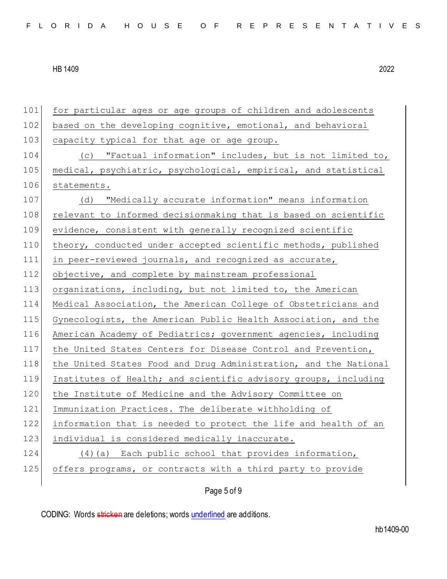101 for particular ages or age groups of children and adolescents 102 based on the developing cognitive, emotional, and behavioral 103 capacity typical for that age or age group. 104 (c) "Factual information" includes, but is not limited to, 105 medical, psychiatric, psychological, empirical, and statistical 106 statements. 107 (d) "Medically accurate information" means information 108 relevant to informed decisionmaking that is based on scientific 109 evidence, consistent with generally recognized scientific 110 theory, conducted under accepted scientific methods, published 111 in peer-reviewed journals, and recognized as accurate, 112 objective, and complete by mainstream professional 113 organizations, including, but not limited to, the American 114 Medical Association, the American College of Obstetricians and 115 Gynecologists, the American Public Health Association, and the 116 American Academy of Pediatrics; government agencies, including 117 the United States Centers for Disease Control and Prevention, 118 the United States Food and Drug Administration, and the National 119 Institutes of Health; and scientific advisory groups, including 120 the Institute of Medicine and the Advisory Committee on 121 Immunization Practices. The deliberate withholding of 122 information that is needed to protect the life and health of an 123 individual is considered medically inaccurate. 124 (4)(a) Each public school that provides information, 125 offers programs, or contracts with a third party to provide

Page 5 of 9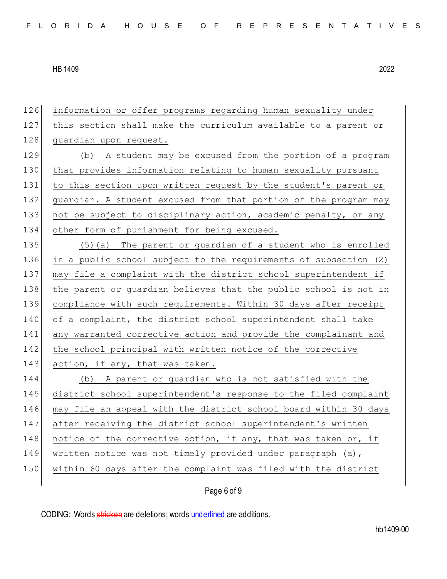| 126 | information or offer programs regarding human sexuality under    |
|-----|------------------------------------------------------------------|
| 127 | this section shall make the curriculum available to a parent or  |
| 128 | guardian upon request.                                           |
| 129 | (b) A student may be excused from the portion of a program       |
| 130 | that provides information relating to human sexuality pursuant   |
| 131 | to this section upon written request by the student's parent or  |
| 132 | guardian. A student excused from that portion of the program may |
| 133 | not be subject to disciplinary action, academic penalty, or any  |
| 134 | other form of punishment for being excused.                      |
| 135 | (5) (a) The parent or guardian of a student who is enrolled      |
| 136 | in a public school subject to the requirements of subsection (2) |
| 137 | may file a complaint with the district school superintendent if  |
| 138 | the parent or guardian believes that the public school is not in |
| 139 | compliance with such requirements. Within 30 days after receipt  |
| 140 | of a complaint, the district school superintendent shall take    |
| 141 | any warranted corrective action and provide the complainant and  |
| 142 | the school principal with written notice of the corrective       |
| 143 | action, if any, that was taken.                                  |
| 144 | (b) A parent or guardian who is not satisfied with the           |
| 145 | district school superintendent's response to the filed complaint |
| 146 | may file an appeal with the district school board within 30 days |
| 147 | after receiving the district school superintendent's written     |
| 148 | notice of the corrective action, if any, that was taken or, if   |
| 149 | written notice was not timely provided under paragraph (a),      |
| 150 | within 60 days after the complaint was filed with the district   |
|     |                                                                  |

# Page 6 of 9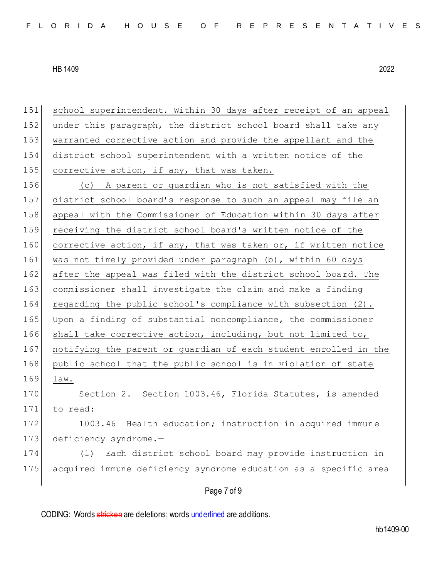151 school superintendent. Within 30 days after receipt of an appeal 152 under this paragraph, the district school board shall take any 153 warranted corrective action and provide the appellant and the 154 district school superintendent with a written notice of the 155 corrective action, if any, that was taken. 156 (c) A parent or guardian who is not satisfied with the 157 district school board's response to such an appeal may file an 158 appeal with the Commissioner of Education within 30 days after 159 receiving the district school board's written notice of the 160 corrective action, if any, that was taken or, if written notice 161 was not timely provided under paragraph (b), within 60 days 162 after the appeal was filed with the district school board. The 163 commissioner shall investigate the claim and make a finding 164 regarding the public school's compliance with subsection (2). 165 Upon a finding of substantial noncompliance, the commissioner 166 shall take corrective action, including, but not limited to, 167 notifying the parent or guardian of each student enrolled in the 168 public school that the public school is in violation of state 169 law. 170 Section 2. Section 1003.46, Florida Statutes, is amended 171 to read: 172 1003.46 Health education; instruction in acquired immune 173 deficiency syndrome.-174  $(1)$  Each district school board may provide instruction in 175 acquired immune deficiency syndrome education as a specific area

# Page 7 of 9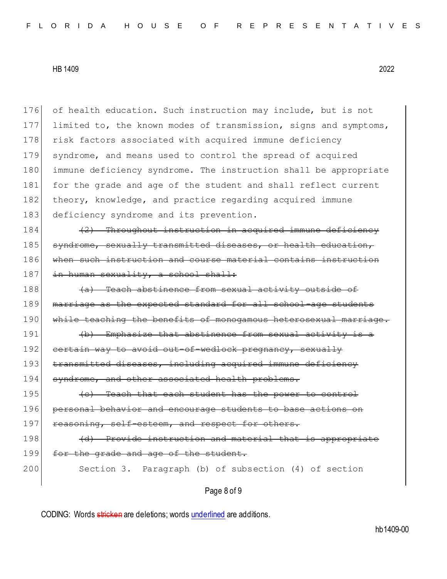176 of health education. Such instruction may include, but is not 177 limited to, the known modes of transmission, signs and symptoms, 178 risk factors associated with acquired immune deficiency 179 syndrome, and means used to control the spread of acquired 180 immune deficiency syndrome. The instruction shall be appropriate 181 for the grade and age of the student and shall reflect current 182 theory, knowledge, and practice regarding acquired immune 183 deficiency syndrome and its prevention.

184 (2) Throughout instruction in acquired immune deficiency 185 syndrome, sexually transmitted diseases, or health education, 186 when such instruction and course material contains instruction 187 in human sexuality, a school shall:

188 (a) Teach abstinence from sexual activity outside of 189 marriage as the expected standard for all school-age students 190 While teaching the benefits of monogamous heterosexual marriage.

191 (b) Emphasize that abstinence from sexual activity is a 192 certain way to avoid out-of-wedlock pregnancy, sexually 193 transmitted diseases, including acquired immune deficiency 194 syndrome, and other associated health probl

 $195$  (c) Teach that each student has the power to control 196 personal behavior and encourage students to base actions on 197 reasoning, self-esteem, and respect for others.

198 (d) Provide instruction and material that is appropriate 199 for the grade and age of the student.

200 Section 3. Paragraph (b) of subsection (4) of section

Page 8 of 9